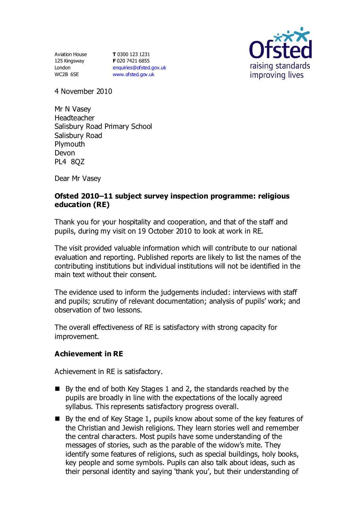Aviation House 125 Kingsway London WC2B 6SE

**T** 0300 123 1231 **F** 020 7421 6855 [enquiries@ofsted.gov.uk](mailto:enquiries@ofsted.gov.uk) [www.ofsted.gov.uk](http://www.ofsted.gov.uk/)



4 November 2010

Mr N Vasey Headteacher Salisbury Road Primary School Salisbury Road Plymouth Devon PL4 8QZ

Dear Mr Vasey

## **Ofsted 2010–11 subject survey inspection programme: religious education (RE)**

Thank you for your hospitality and cooperation, and that of the staff and pupils, during my visit on 19 October 2010 to look at work in RE.

The visit provided valuable information which will contribute to our national evaluation and reporting. Published reports are likely to list the names of the contributing institutions but individual institutions will not be identified in the main text without their consent.

The evidence used to inform the judgements included: interviews with staff and pupils; scrutiny of relevant documentation; analysis of pupils' work; and observation of two lessons.

The overall effectiveness of RE is satisfactory with strong capacity for improvement.

### **Achievement in RE**

Achievement in RE is satisfactory.

- $\blacksquare$  By the end of both Key Stages 1 and 2, the standards reached by the pupils are broadly in line with the expectations of the locally agreed syllabus. This represents satisfactory progress overall.
- By the end of Key Stage 1, pupils know about some of the key features of the Christian and Jewish religions. They learn stories well and remember the central characters. Most pupils have some understanding of the messages of stories, such as the parable of the widow's mite. They identify some features of religions, such as special buildings, holy books, key people and some symbols. Pupils can also talk about ideas, such as their personal identity and saying 'thank you', but their understanding of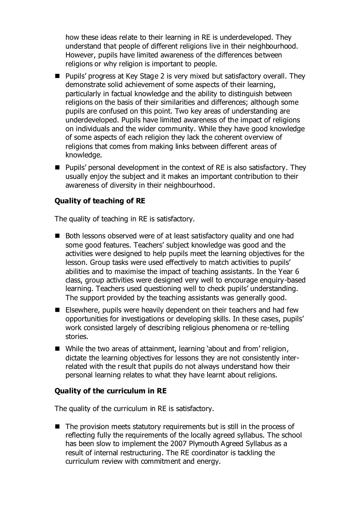how these ideas relate to their learning in RE is underdeveloped. They understand that people of different religions live in their neighbourhood. However, pupils have limited awareness of the differences between religions or why religion is important to people.

- Pupils' progress at Key Stage 2 is very mixed but satisfactory overall. They demonstrate solid achievement of some aspects of their learning, particularly in factual knowledge and the ability to distinguish between religions on the basis of their similarities and differences; although some pupils are confused on this point. Two key areas of understanding are underdeveloped. Pupils have limited awareness of the impact of religions on individuals and the wider community. While they have good knowledge of some aspects of each religion they lack the coherent overview of religions that comes from making links between different areas of knowledge.
- Pupils' personal development in the context of RE is also satisfactory. They usually enjoy the subject and it makes an important contribution to their awareness of diversity in their neighbourhood.

# **Quality of teaching of RE**

The quality of teaching in RE is satisfactory.

- Both lessons observed were of at least satisfactory quality and one had some good features. Teachers' subject knowledge was good and the activities were designed to help pupils meet the learning objectives for the lesson. Group tasks were used effectively to match activities to pupils' abilities and to maximise the impact of teaching assistants. In the Year 6 class, group activities were designed very well to encourage enquiry-based learning. Teachers used questioning well to check pupils' understanding. The support provided by the teaching assistants was generally good.
- Elsewhere, pupils were heavily dependent on their teachers and had few opportunities for investigations or developing skills. In these cases, pupils' work consisted largely of describing religious phenomena or re-telling stories.
- While the two areas of attainment, learning 'about and from' religion, dictate the learning objectives for lessons they are not consistently interrelated with the result that pupils do not always understand how their personal learning relates to what they have learnt about religions.

### **Quality of the curriculum in RE**

The quality of the curriculum in RE is satisfactory.

■ The provision meets statutory requirements but is still in the process of reflecting fully the requirements of the locally agreed syllabus. The school has been slow to implement the 2007 Plymouth Agreed Syllabus as a result of internal restructuring. The RE coordinator is tackling the curriculum review with commitment and energy.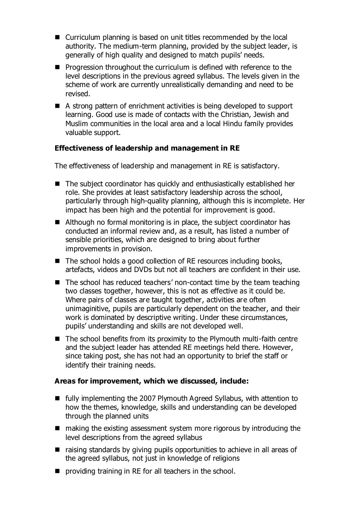- Curriculum planning is based on unit titles recommended by the local authority. The medium-term planning, provided by the subject leader, is generally of high quality and designed to match pupils' needs.
- **Progression throughout the curriculum is defined with reference to the** level descriptions in the previous agreed syllabus. The levels given in the scheme of work are currently unrealistically demanding and need to be revised.
- A strong pattern of enrichment activities is being developed to support learning. Good use is made of contacts with the Christian, Jewish and Muslim communities in the local area and a local Hindu family provides valuable support.

# **Effectiveness of leadership and management in RE**

The effectiveness of leadership and management in RE is satisfactory.

- The subject coordinator has quickly and enthusiastically established her role. She provides at least satisfactory leadership across the school, particularly through high-quality planning, although this is incomplete. Her impact has been high and the potential for improvement is good.
- Although no formal monitoring is in place, the subject coordinator has conducted an informal review and, as a result, has listed a number of sensible priorities, which are designed to bring about further improvements in provision.
- The school holds a good collection of RE resources including books, artefacts, videos and DVDs but not all teachers are confident in their use.
- $\blacksquare$  The school has reduced teachers' non-contact time by the team teaching two classes together, however, this is not as effective as it could be. Where pairs of classes are taught together, activities are often unimaginitive, pupils are particularly dependent on the teacher, and their work is dominated by descriptive writing. Under these circumstances, pupils' understanding and skills are not developed well.
- $\blacksquare$  The school benefits from its proximity to the Plymouth multi-faith centre and the subject leader has attended RE meetings held there. However, since taking post, she has not had an opportunity to brief the staff or identify their training needs.

### **Areas for improvement, which we discussed, include:**

- fully implementing the 2007 Plymouth Agreed Syllabus, with attention to how the themes, knowledge, skills and understanding can be developed through the planned units
- $\blacksquare$  making the existing assessment system more rigorous by introducing the level descriptions from the agreed syllabus
- raising standards by giving pupils opportunities to achieve in all areas of the agreed syllabus, not just in knowledge of religions
- **P** providing training in RE for all teachers in the school.